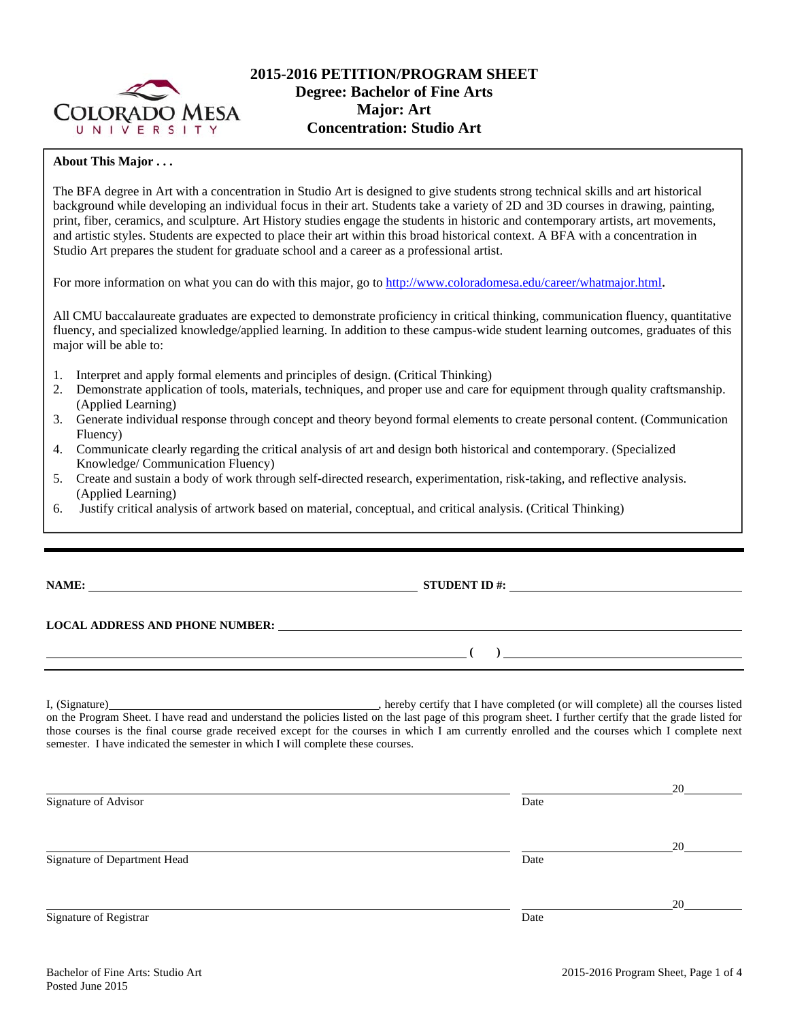

## **2015-2016 PETITION/PROGRAM SHEET Degree: Bachelor of Fine Arts Major: Art Concentration: Studio Art**

## **About This Major . . .**

The BFA degree in Art with a concentration in Studio Art is designed to give students strong technical skills and art historical background while developing an individual focus in their art. Students take a variety of 2D and 3D courses in drawing, painting, print, fiber, ceramics, and sculpture. Art History studies engage the students in historic and contemporary artists, art movements, and artistic styles. Students are expected to place their art within this broad historical context. A BFA with a concentration in Studio Art prepares the student for graduate school and a career as a professional artist.

For more information on what you can do with this major, go to http://www.coloradomesa.edu/career/whatmajor.html.

All CMU baccalaureate graduates are expected to demonstrate proficiency in critical thinking, communication fluency, quantitative fluency, and specialized knowledge/applied learning. In addition to these campus-wide student learning outcomes, graduates of this major will be able to:

- 1. Interpret and apply formal elements and principles of design. (Critical Thinking)
- 2. Demonstrate application of tools, materials, techniques, and proper use and care for equipment through quality craftsmanship. (Applied Learning)
- 3. Generate individual response through concept and theory beyond formal elements to create personal content. (Communication Fluency)
- 4. Communicate clearly regarding the critical analysis of art and design both historical and contemporary. (Specialized Knowledge/ Communication Fluency)
- 5. Create and sustain a body of work through self-directed research, experimentation, risk-taking, and reflective analysis. (Applied Learning)
- 6. Justify critical analysis of artwork based on material, conceptual, and critical analysis. (Critical Thinking)

**NAME: STUDENT ID #: STUDENT ID #: STUDENT ID #: STUDENT ID #: STUDENT ID #: STUDENT ID #: STUDENT ID #: STUDENT ID #: STUDENT ID #: STUDENT ID #: STUDENT ID #: STUDENT ID #: STUDENT ID #: STUDE** 

# **LOCAL ADDRESS AND PHONE NUMBER:**

I, (Signature) , hereby certify that I have completed (or will complete) all the courses listed on the Program Sheet. I have read and understand the policies listed on the last page of this program sheet. I further certify that the grade listed for those courses is the final course grade received except for the courses in which I am currently enrolled and the courses which I complete next semester. I have indicated the semester in which I will complete these courses.

|                              |      | 20 |
|------------------------------|------|----|
| Signature of Advisor         | Date |    |
|                              |      | 20 |
| Signature of Department Head | Date |    |
|                              |      | 20 |
| Signature of Registrar       | Date |    |

 **( )**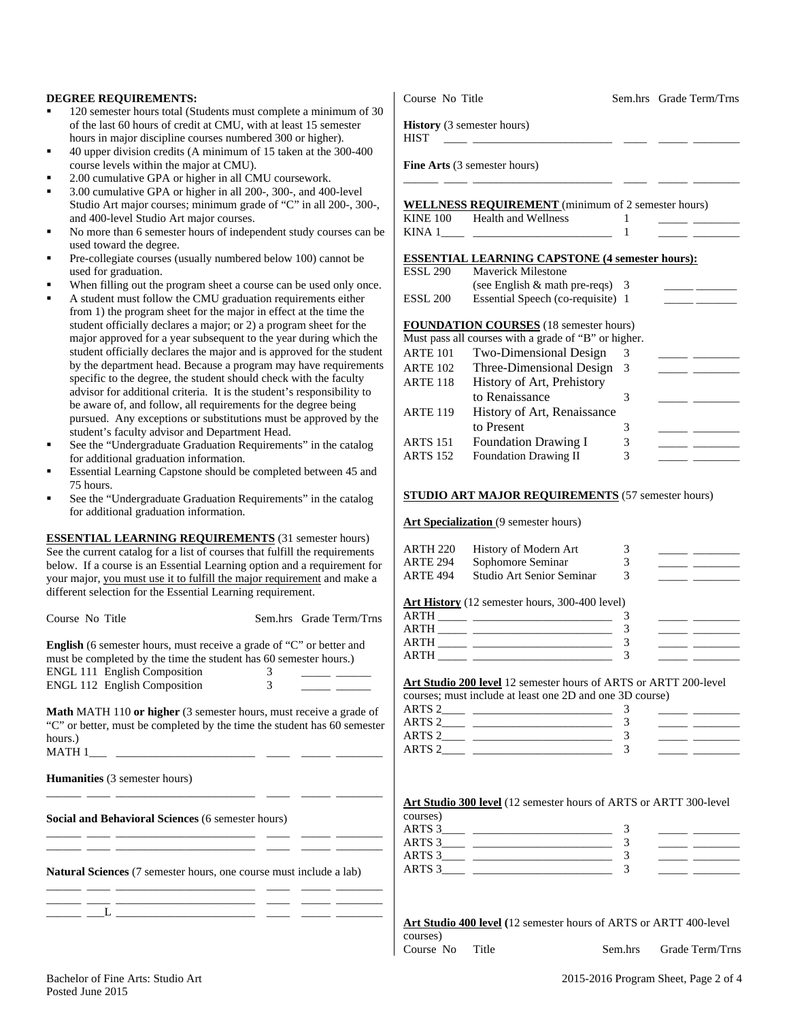#### **DEGREE REQUIREMENTS:**

- 120 semester hours total (Students must complete a minimum of 30 of the last 60 hours of credit at CMU, with at least 15 semester hours in major discipline courses numbered 300 or higher).
- 40 upper division credits (A minimum of 15 taken at the 300-400 course levels within the major at CMU).
- 2.00 cumulative GPA or higher in all CMU coursework.
- 3.00 cumulative GPA or higher in all 200-, 300-, and 400-level Studio Art major courses; minimum grade of "C" in all 200-, 300-, and 400-level Studio Art major courses.
- No more than 6 semester hours of independent study courses can be used toward the degree.
- Pre-collegiate courses (usually numbered below 100) cannot be used for graduation.
- When filling out the program sheet a course can be used only once.
- A student must follow the CMU graduation requirements either from 1) the program sheet for the major in effect at the time the student officially declares a major; or 2) a program sheet for the major approved for a year subsequent to the year during which the student officially declares the major and is approved for the student by the department head. Because a program may have requirements specific to the degree, the student should check with the faculty advisor for additional criteria. It is the student's responsibility to be aware of, and follow, all requirements for the degree being pursued. Any exceptions or substitutions must be approved by the student's faculty advisor and Department Head.
- See the "Undergraduate Graduation Requirements" in the catalog for additional graduation information.
- Essential Learning Capstone should be completed between 45 and 75 hours.
- See the "Undergraduate Graduation Requirements" in the catalog for additional graduation information.

**ESSENTIAL LEARNING REQUIREMENTS** (31 semester hours) See the current catalog for a list of courses that fulfill the requirements below. If a course is an Essential Learning option and a requirement for your major, you must use it to fulfill the major requirement and make a different selection for the Essential Learning requirement.

| Course No Title                                                                                                                                  |   | Sem.hrs Grade Term/Trns |
|--------------------------------------------------------------------------------------------------------------------------------------------------|---|-------------------------|
| <b>English</b> (6 semester hours, must receive a grade of "C" or better and<br>must be completed by the time the student has 60 semester hours.) |   |                         |
| <b>ENGL 111 English Composition</b>                                                                                                              |   |                         |
| <b>ENGL 112 English Composition</b>                                                                                                              | 3 |                         |

**Math** MATH 110 **or higher** (3 semester hours, must receive a grade of "C" or better, must be completed by the time the student has 60 semester hours.)  $MATH 1$ 

\_\_\_\_\_\_ \_\_\_\_ \_\_\_\_\_\_\_\_\_\_\_\_\_\_\_\_\_\_\_\_\_\_\_\_ \_\_\_\_ \_\_\_\_\_ \_\_\_\_\_\_\_\_

\_\_\_\_\_\_ \_\_\_\_ \_\_\_\_\_\_\_\_\_\_\_\_\_\_\_\_\_\_\_\_\_\_\_\_ \_\_\_\_ \_\_\_\_\_ \_\_\_\_\_\_\_\_ \_\_\_\_\_\_ \_\_\_\_ \_\_\_\_\_\_\_\_\_\_\_\_\_\_\_\_\_\_\_\_\_\_\_\_ \_\_\_\_ \_\_\_\_\_ \_\_\_\_\_\_\_\_

\_\_\_\_\_\_ \_\_\_\_ \_\_\_\_\_\_\_\_\_\_\_\_\_\_\_\_\_\_\_\_\_\_\_\_ \_\_\_\_ \_\_\_\_\_ \_\_\_\_\_\_\_\_ \_\_\_\_\_\_ \_\_\_L \_\_\_\_\_\_\_\_\_\_\_\_\_\_\_\_\_\_\_\_\_\_\_\_ \_\_\_\_ \_\_\_\_\_ \_\_\_\_\_\_\_\_

**Humanities** (3 semester hours)

**Social and Behavioral Sciences** (6 semester hours)

**Natural Sciences** (7 semester hours, one course must include a lab) \_\_\_\_\_\_ \_\_\_\_ \_\_\_\_\_\_\_\_\_\_\_\_\_\_\_\_\_\_\_\_\_\_\_\_ \_\_\_\_ \_\_\_\_\_ \_\_\_\_\_\_\_\_

| Course No Title |  |
|-----------------|--|
|                 |  |

Sem.hrs Grade Term/Trns

**History** (3 semester hours)

HIST \_\_\_\_ \_\_\_\_\_\_\_\_\_\_\_\_\_\_\_\_\_\_\_\_\_\_\_\_ \_\_\_\_ \_\_\_\_\_ \_\_\_\_\_\_\_\_

**Fine Arts** (3 semester hours)

|          | <b>WELLNESS REQUIREMENT</b> (minimum of 2 semester hours) |  |
|----------|-----------------------------------------------------------|--|
| KINE 100 | Health and Wellness                                       |  |
| KINA 1   |                                                           |  |

\_\_\_\_\_\_ \_\_\_\_ \_\_\_\_\_\_\_\_\_\_\_\_\_\_\_\_\_\_\_\_\_\_\_\_ \_\_\_\_ \_\_\_\_\_ \_\_\_\_\_\_\_\_

#### **ESSENTIAL LEARNING CAPSTONE (4 semester hours):**

| <b>ESSL 290</b> | <b>Maverick Milestone</b>                            |     |  |
|-----------------|------------------------------------------------------|-----|--|
|                 | (see English $\&$ math pre-reqs) 3                   |     |  |
| <b>ESSL 200</b> | Essential Speech (co-requisite) 1                    |     |  |
|                 | <b>FOUNDATION COURSES</b> (18 semester hours)        |     |  |
|                 | Must pass all courses with a grade of "B" or higher. |     |  |
| <b>ARTE 101</b> | Two-Dimensional Design                               | 3   |  |
| <b>ARTE 102</b> | Three-Dimensional Design                             | - 3 |  |
| <b>ARTE 118</b> | History of Art, Prehistory                           |     |  |
|                 | to Renaissance                                       | 3   |  |
| <b>ARTE 119</b> | History of Art, Renaissance                          |     |  |
|                 | to Present                                           | 3   |  |
| <b>ARTS 151</b> | <b>Foundation Drawing I</b>                          | 3   |  |
| <b>ARTS 152</b> | <b>Foundation Drawing II</b>                         | 3   |  |

#### **STUDIO ART MAJOR REQUIREMENTS** (57 semester hours)

Art Specialization (9 semester hours)

| History of Modern Art     |  |
|---------------------------|--|
| Sophomore Seminar         |  |
| Studio Art Senior Seminar |  |
|                           |  |

## **Art History** (12 semester hours, 300-400 level)

| ART-          |  |  |
|---------------|--|--|
| <b>ARTH</b>   |  |  |
| AR'I'H        |  |  |
| A R'TH<br>. . |  |  |

## **Art Studio 200 level** 12 semester hours of ARTS or ARTT 200-level

|                   | courses; must include at least one 2D and one 3D course) |  |  |
|-------------------|----------------------------------------------------------|--|--|
| ARTS 2            |                                                          |  |  |
| ARTS 2            |                                                          |  |  |
| ARTS <sub>2</sub> |                                                          |  |  |
| ARTS <sub>2</sub> |                                                          |  |  |

#### **Art Studio 300 level** (12 semester hours of ARTS or ARTT 300-level

| courses)          |  |  |
|-------------------|--|--|
| ARTS <sub>3</sub> |  |  |
| ARTS <sub>3</sub> |  |  |
| ARTS 3            |  |  |
| ARTS <sub>3</sub> |  |  |

### **Art Studio 400 level (**12 semester hours of ARTS or ARTT 400-level

courses)

Course No Title Sem.hrs Grade Term/Trns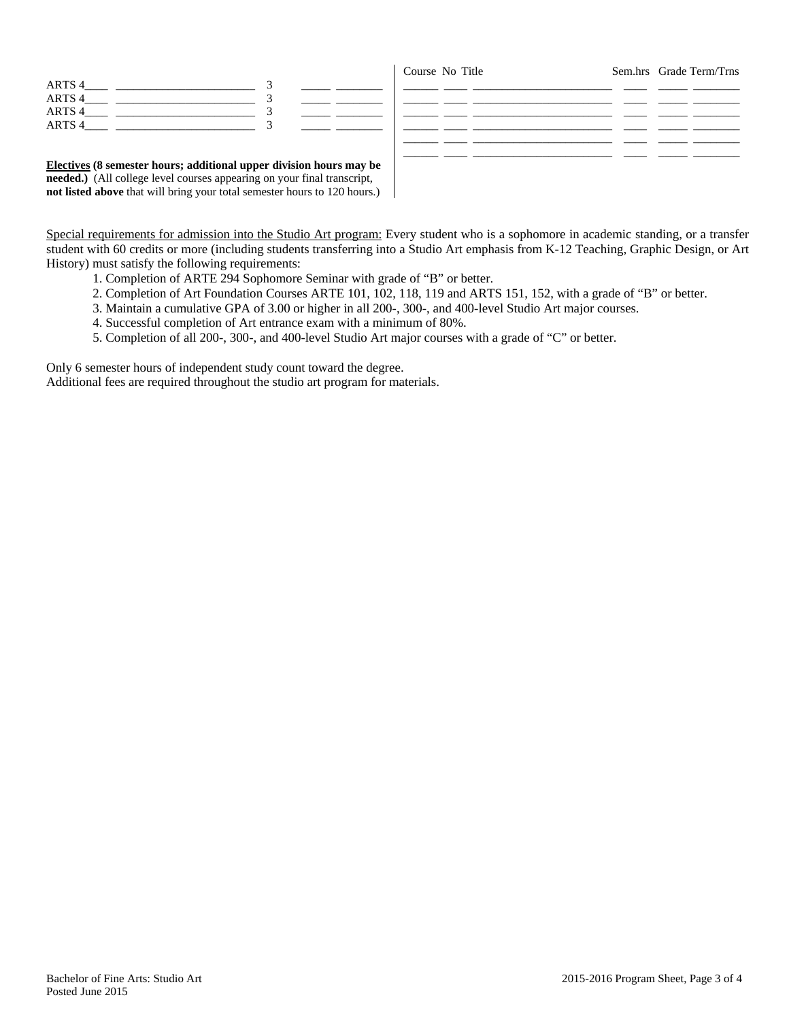| ARTS 4            |  |  |
|-------------------|--|--|
| ARTS 4            |  |  |
| ARTS <sub>4</sub> |  |  |
| ARTS <sub>4</sub> |  |  |

Course No Title Sem.hrs Grade Term/Trns \_\_\_\_\_\_ \_\_\_\_ \_\_\_\_\_\_\_\_\_\_\_\_\_\_\_\_\_\_\_\_\_\_\_\_ \_\_\_\_ \_\_\_\_\_ \_\_\_\_\_\_\_\_ \_\_\_\_\_\_ \_\_\_\_ \_\_\_\_\_\_\_\_\_\_\_\_\_\_\_\_\_\_\_\_\_\_\_\_ \_\_\_\_ \_\_\_\_\_ \_\_\_\_\_\_\_\_ \_\_\_\_\_\_ \_\_\_\_ \_\_\_\_\_\_\_\_\_\_\_\_\_\_\_\_\_\_\_\_\_\_\_\_ \_\_\_\_ \_\_\_\_\_ \_\_\_\_\_\_\_\_ \_\_\_\_\_\_ \_\_\_\_ \_\_\_\_\_\_\_\_\_\_\_\_\_\_\_\_\_\_\_\_\_\_\_\_ \_\_\_\_ \_\_\_\_\_ \_\_\_\_\_\_\_\_ \_\_\_\_\_\_ \_\_\_\_ \_\_\_\_\_\_\_\_\_\_\_\_\_\_\_\_\_\_\_\_\_\_\_\_ \_\_\_\_ \_\_\_\_\_ \_\_\_\_\_\_\_\_ \_\_\_\_\_\_ \_\_\_\_ \_\_\_\_\_\_\_\_\_\_\_\_\_\_\_\_\_\_\_\_\_\_\_\_ \_\_\_\_ \_\_\_\_\_ \_\_\_\_\_\_\_\_

**Electives (8 semester hours; additional upper division hours may be needed.)** (All college level courses appearing on your final transcript, **not listed above** that will bring your total semester hours to 120 hours.)

| Special requirements for admission into the Studio Art program: Every student who is a sophomore in academic standing, or a transfer   |
|----------------------------------------------------------------------------------------------------------------------------------------|
| student with 60 credits or more (including students transferring into a Studio Art emphasis from K-12 Teaching, Graphic Design, or Art |
| History) must satisfy the following requirements:                                                                                      |

- 1. Completion of ARTE 294 Sophomore Seminar with grade of "B" or better.
- 2. Completion of Art Foundation Courses ARTE 101, 102, 118, 119 and ARTS 151, 152, with a grade of "B" or better.
- 3. Maintain a cumulative GPA of 3.00 or higher in all 200-, 300-, and 400-level Studio Art major courses.
- 4. Successful completion of Art entrance exam with a minimum of 80%.
- 5. Completion of all 200-, 300-, and 400-level Studio Art major courses with a grade of "C" or better.

Only 6 semester hours of independent study count toward the degree.

Additional fees are required throughout the studio art program for materials.